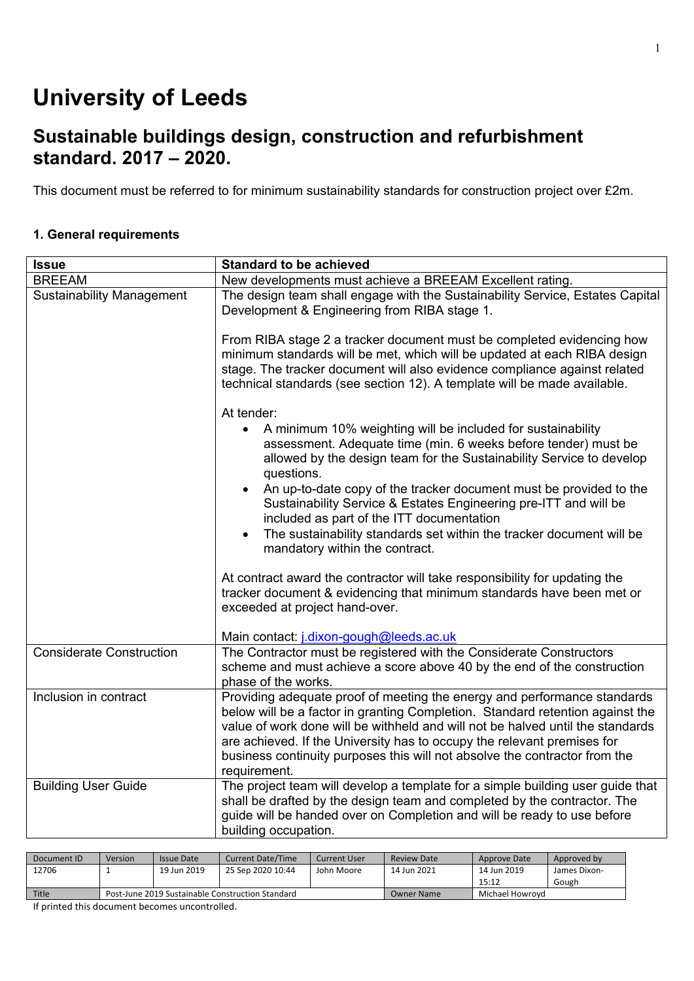# **University of Leeds**

# **Sustainable buildings design, construction and refurbishment standard. 2017 – 2020.**

This document must be referred to for minimum sustainability standards for construction project over £2m.

#### **1. General requirements**

| <b>Issue</b>                     | <b>Standard to be achieved</b>                                                                                                                                                                                                                                                                                                                                                                                       |
|----------------------------------|----------------------------------------------------------------------------------------------------------------------------------------------------------------------------------------------------------------------------------------------------------------------------------------------------------------------------------------------------------------------------------------------------------------------|
| <b>BREEAM</b>                    | New developments must achieve a BREEAM Excellent rating.                                                                                                                                                                                                                                                                                                                                                             |
| <b>Sustainability Management</b> | The design team shall engage with the Sustainability Service, Estates Capital<br>Development & Engineering from RIBA stage 1.                                                                                                                                                                                                                                                                                        |
|                                  | From RIBA stage 2 a tracker document must be completed evidencing how<br>minimum standards will be met, which will be updated at each RIBA design<br>stage. The tracker document will also evidence compliance against related<br>technical standards (see section 12). A template will be made available.                                                                                                           |
|                                  | At tender:                                                                                                                                                                                                                                                                                                                                                                                                           |
|                                  | • A minimum 10% weighting will be included for sustainability<br>assessment. Adequate time (min. 6 weeks before tender) must be<br>allowed by the design team for the Sustainability Service to develop<br>questions.                                                                                                                                                                                                |
|                                  | An up-to-date copy of the tracker document must be provided to the<br>$\bullet$<br>Sustainability Service & Estates Engineering pre-ITT and will be<br>included as part of the ITT documentation                                                                                                                                                                                                                     |
|                                  | The sustainability standards set within the tracker document will be<br>$\bullet$<br>mandatory within the contract.                                                                                                                                                                                                                                                                                                  |
|                                  | At contract award the contractor will take responsibility for updating the<br>tracker document & evidencing that minimum standards have been met or<br>exceeded at project hand-over.                                                                                                                                                                                                                                |
|                                  | Main contact: j.dixon-gough@leeds.ac.uk                                                                                                                                                                                                                                                                                                                                                                              |
| <b>Considerate Construction</b>  | The Contractor must be registered with the Considerate Constructors<br>scheme and must achieve a score above 40 by the end of the construction<br>phase of the works.                                                                                                                                                                                                                                                |
| Inclusion in contract            | Providing adequate proof of meeting the energy and performance standards<br>below will be a factor in granting Completion. Standard retention against the<br>value of work done will be withheld and will not be halved until the standards<br>are achieved. If the University has to occupy the relevant premises for<br>business continuity purposes this will not absolve the contractor from the<br>requirement. |
| <b>Building User Guide</b>       | The project team will develop a template for a simple building user guide that<br>shall be drafted by the design team and completed by the contractor. The<br>guide will be handed over on Completion and will be ready to use before<br>building occupation.                                                                                                                                                        |

| Document ID | Version                                          | Issue Date  | <b>Current Date/Time</b> | <b>Current User</b> | Review Date       | Approve Date    | Approved by  |
|-------------|--------------------------------------------------|-------------|--------------------------|---------------------|-------------------|-----------------|--------------|
| 12706       |                                                  | 19 Jun 2019 | 25 Sep 2020 10:44        | John Moore          | 14 Jun 2021       | 14 Jun 2019     | James Dixon- |
|             |                                                  |             |                          |                     |                   | 15:12           | Gough        |
| Title       | Post-June 2019 Sustainable Construction Standard |             |                          |                     | <b>Owner Name</b> | Michael Howrovd |              |
|             |                                                  |             |                          |                     |                   |                 |              |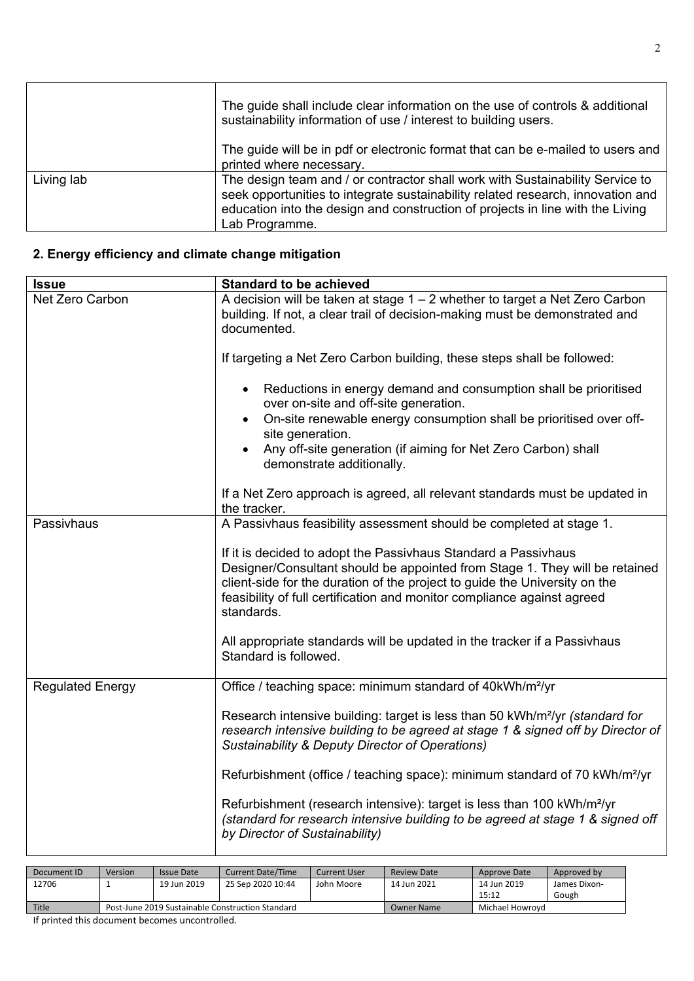|            | The guide shall include clear information on the use of controls & additional<br>sustainability information of use / interest to building users.                                                                                                                     |
|------------|----------------------------------------------------------------------------------------------------------------------------------------------------------------------------------------------------------------------------------------------------------------------|
|            | The quide will be in pdf or electronic format that can be e-mailed to users and<br>printed where necessary.                                                                                                                                                          |
| Living lab | The design team and / or contractor shall work with Sustainability Service to<br>seek opportunities to integrate sustainability related research, innovation and<br>education into the design and construction of projects in line with the Living<br>Lab Programme. |

#### **2. Energy efficiency and climate change mitigation**

| <b>Issue</b>            | <b>Standard to be achieved</b>                                                                                                                                                                                                                                                                                       |
|-------------------------|----------------------------------------------------------------------------------------------------------------------------------------------------------------------------------------------------------------------------------------------------------------------------------------------------------------------|
| Net Zero Carbon         | A decision will be taken at stage $1 - 2$ whether to target a Net Zero Carbon<br>building. If not, a clear trail of decision-making must be demonstrated and<br>documented.                                                                                                                                          |
|                         | If targeting a Net Zero Carbon building, these steps shall be followed:                                                                                                                                                                                                                                              |
|                         | Reductions in energy demand and consumption shall be prioritised<br>$\bullet$<br>over on-site and off-site generation.<br>On-site renewable energy consumption shall be prioritised over off-<br>$\bullet$<br>site generation.<br>Any off-site generation (if aiming for Net Zero Carbon) shall<br>$\bullet$         |
|                         | demonstrate additionally.                                                                                                                                                                                                                                                                                            |
|                         | If a Net Zero approach is agreed, all relevant standards must be updated in<br>the tracker.                                                                                                                                                                                                                          |
| Passivhaus              | A Passivhaus feasibility assessment should be completed at stage 1.                                                                                                                                                                                                                                                  |
|                         | If it is decided to adopt the Passivhaus Standard a Passivhaus<br>Designer/Consultant should be appointed from Stage 1. They will be retained<br>client-side for the duration of the project to guide the University on the<br>feasibility of full certification and monitor compliance against agreed<br>standards. |
|                         | All appropriate standards will be updated in the tracker if a Passivhaus<br>Standard is followed.                                                                                                                                                                                                                    |
| <b>Regulated Energy</b> | Office / teaching space: minimum standard of 40kWh/m <sup>2</sup> /yr                                                                                                                                                                                                                                                |
|                         | Research intensive building: target is less than 50 kWh/m <sup>2</sup> /yr (standard for<br>research intensive building to be agreed at stage 1 & signed off by Director of<br><b>Sustainability &amp; Deputy Director of Operations)</b>                                                                            |
|                         | Refurbishment (office / teaching space): minimum standard of 70 kWh/m <sup>2</sup> /yr                                                                                                                                                                                                                               |
|                         | Refurbishment (research intensive): target is less than 100 kWh/m <sup>2</sup> /yr<br>(standard for research intensive building to be agreed at stage 1 & signed off<br>by Director of Sustainability)                                                                                                               |
|                         |                                                                                                                                                                                                                                                                                                                      |

| Document ID | Version                                          | Issue Date  | <b>Current Date/Time</b> | <b>Current User</b> | <b>Review Date</b> | Approve Date    | Approved by  |
|-------------|--------------------------------------------------|-------------|--------------------------|---------------------|--------------------|-----------------|--------------|
| 12706       |                                                  | 19 Jun 2019 | 25 Sep 2020 10:44        | John Moore          | 14 Jun 2021        | 14 Jun 2019     | James Dixon- |
|             |                                                  |             |                          |                     |                    | 15:12           | Gough        |
| Title       | Post-June 2019 Sustainable Construction Standard |             |                          |                     | Owner Name         | Michael Howrovd |              |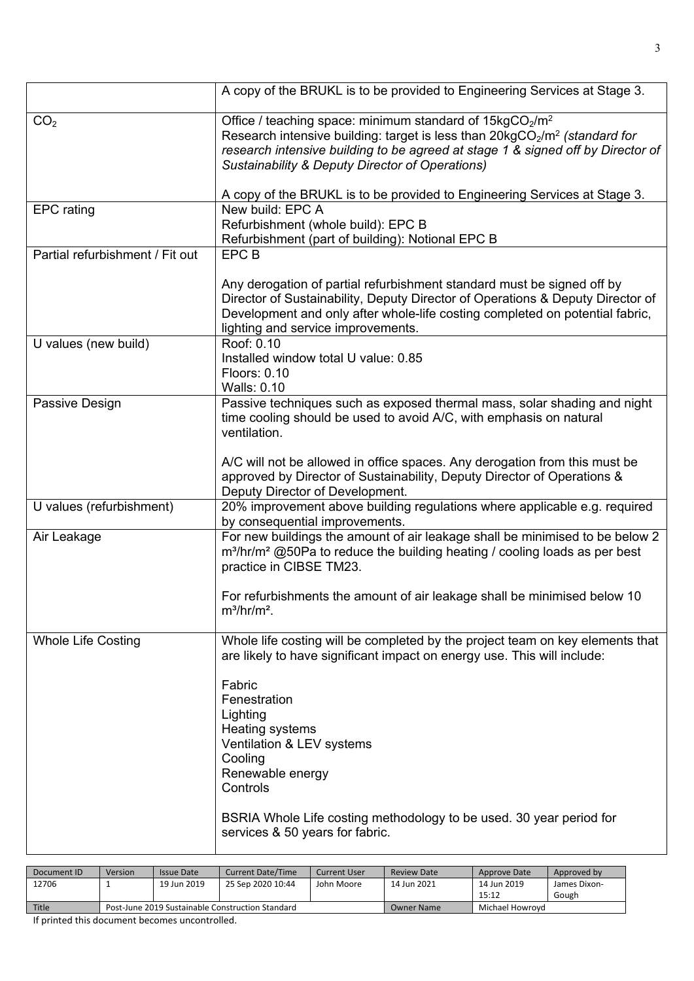|                                 | A copy of the BRUKL is to be provided to Engineering Services at Stage 3.                                                                                                                                                                                                                                      |
|---------------------------------|----------------------------------------------------------------------------------------------------------------------------------------------------------------------------------------------------------------------------------------------------------------------------------------------------------------|
| CO <sub>2</sub>                 | Office / teaching space: minimum standard of $15\text{kgCO}_2/\text{m}^2$<br>Research intensive building: target is less than $20\text{kgCO}_2/\text{m}^2$ (standard for<br>research intensive building to be agreed at stage 1 & signed off by Director of<br>Sustainability & Deputy Director of Operations) |
|                                 | A copy of the BRUKL is to be provided to Engineering Services at Stage 3.                                                                                                                                                                                                                                      |
| <b>EPC</b> rating               | New build: EPC A                                                                                                                                                                                                                                                                                               |
|                                 | Refurbishment (whole build): EPC B<br>Refurbishment (part of building): Notional EPC B                                                                                                                                                                                                                         |
| Partial refurbishment / Fit out | <b>EPCB</b>                                                                                                                                                                                                                                                                                                    |
|                                 |                                                                                                                                                                                                                                                                                                                |
|                                 | Any derogation of partial refurbishment standard must be signed off by<br>Director of Sustainability, Deputy Director of Operations & Deputy Director of<br>Development and only after whole-life costing completed on potential fabric,<br>lighting and service improvements.                                 |
| U values (new build)            | Roof: 0.10                                                                                                                                                                                                                                                                                                     |
|                                 | Installed window total U value: 0.85                                                                                                                                                                                                                                                                           |
|                                 | Floors: 0.10<br><b>Walls: 0.10</b>                                                                                                                                                                                                                                                                             |
| Passive Design                  | Passive techniques such as exposed thermal mass, solar shading and night                                                                                                                                                                                                                                       |
|                                 | time cooling should be used to avoid A/C, with emphasis on natural<br>ventilation.                                                                                                                                                                                                                             |
|                                 | A/C will not be allowed in office spaces. Any derogation from this must be<br>approved by Director of Sustainability, Deputy Director of Operations &<br>Deputy Director of Development.                                                                                                                       |
| U values (refurbishment)        | 20% improvement above building regulations where applicable e.g. required                                                                                                                                                                                                                                      |
|                                 | by consequential improvements.                                                                                                                                                                                                                                                                                 |
| Air Leakage                     | For new buildings the amount of air leakage shall be minimised to be below 2<br>m <sup>3</sup> /hr/m <sup>2</sup> @50Pa to reduce the building heating / cooling loads as per best<br>practice in CIBSE TM23.                                                                                                  |
|                                 | For refurbishments the amount of air leakage shall be minimised below 10<br>$m^3/hr/m^2$ .                                                                                                                                                                                                                     |
| <b>Whole Life Costing</b>       | Whole life costing will be completed by the project team on key elements that<br>are likely to have significant impact on energy use. This will include:                                                                                                                                                       |
|                                 | Fabric                                                                                                                                                                                                                                                                                                         |
|                                 | Fenestration                                                                                                                                                                                                                                                                                                   |
|                                 | Lighting                                                                                                                                                                                                                                                                                                       |
|                                 | Heating systems                                                                                                                                                                                                                                                                                                |
|                                 | Ventilation & LEV systems<br>Cooling                                                                                                                                                                                                                                                                           |
|                                 | Renewable energy                                                                                                                                                                                                                                                                                               |
|                                 | Controls                                                                                                                                                                                                                                                                                                       |
|                                 |                                                                                                                                                                                                                                                                                                                |
|                                 | BSRIA Whole Life costing methodology to be used. 30 year period for<br>services & 50 years for fabric.                                                                                                                                                                                                         |
|                                 |                                                                                                                                                                                                                                                                                                                |

| Document ID | Version                                          | Issue Date  | <b>Current Date/Time</b> | <b>Current User</b> | <b>Review Date</b> | Approve Date    | Approved by  |
|-------------|--------------------------------------------------|-------------|--------------------------|---------------------|--------------------|-----------------|--------------|
| 12706       |                                                  | 19 Jun 2019 | 25 Sep 2020 10:44        | John Moore          | 14 Jun 2021        | 14 Jun 2019     | James Dixon- |
|             |                                                  |             |                          |                     |                    | 15:12           | Gough        |
| Title       | Post-June 2019 Sustainable Construction Standard |             |                          |                     | <b>Owner Name</b>  | Michael Howrovd |              |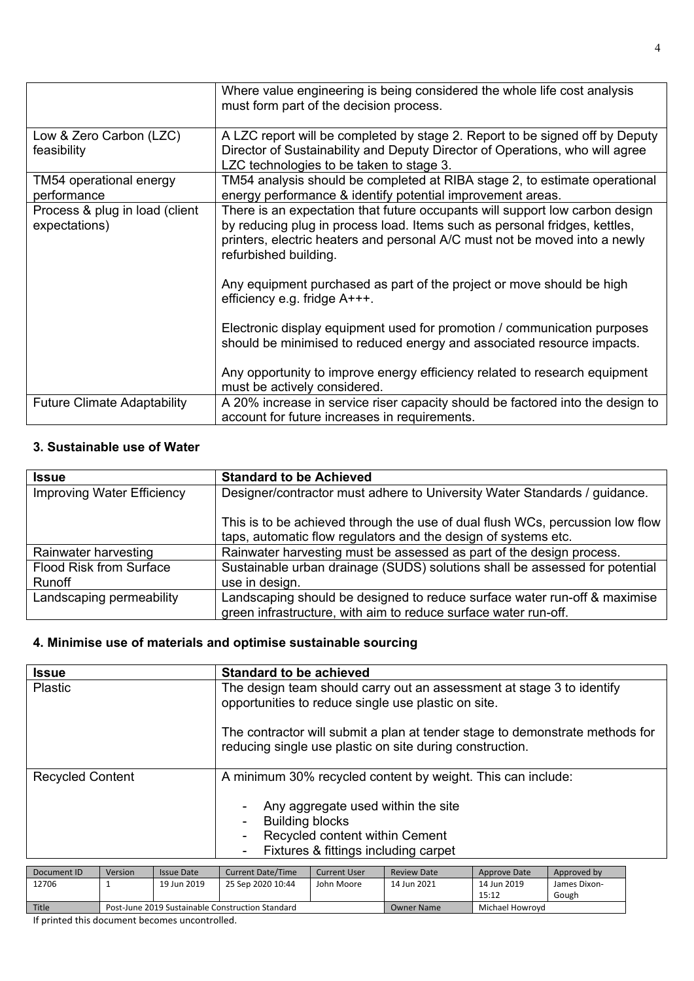|                                                 | Where value engineering is being considered the whole life cost analysis<br>must form part of the decision process.                                                                                                                                               |
|-------------------------------------------------|-------------------------------------------------------------------------------------------------------------------------------------------------------------------------------------------------------------------------------------------------------------------|
| Low & Zero Carbon (LZC)<br>feasibility          | A LZC report will be completed by stage 2. Report to be signed off by Deputy<br>Director of Sustainability and Deputy Director of Operations, who will agree<br>LZC technologies to be taken to stage 3.                                                          |
| TM54 operational energy<br>performance          | TM54 analysis should be completed at RIBA stage 2, to estimate operational<br>energy performance & identify potential improvement areas.                                                                                                                          |
| Process & plug in load (client<br>expectations) | There is an expectation that future occupants will support low carbon design<br>by reducing plug in process load. Items such as personal fridges, kettles,<br>printers, electric heaters and personal A/C must not be moved into a newly<br>refurbished building. |
|                                                 | Any equipment purchased as part of the project or move should be high<br>efficiency e.g. fridge A+++.                                                                                                                                                             |
|                                                 | Electronic display equipment used for promotion / communication purposes<br>should be minimised to reduced energy and associated resource impacts.                                                                                                                |
|                                                 | Any opportunity to improve energy efficiency related to research equipment<br>must be actively considered.                                                                                                                                                        |
| <b>Future Climate Adaptability</b>              | A 20% increase in service riser capacity should be factored into the design to<br>account for future increases in requirements.                                                                                                                                   |

## **3. Sustainable use of Water**

| <b>Issue</b>                      | <b>Standard to be Achieved</b>                                                |
|-----------------------------------|-------------------------------------------------------------------------------|
| <b>Improving Water Efficiency</b> | Designer/contractor must adhere to University Water Standards / guidance.     |
|                                   |                                                                               |
|                                   | This is to be achieved through the use of dual flush WCs, percussion low flow |
|                                   | taps, automatic flow regulators and the design of systems etc.                |
| Rainwater harvesting              | Rainwater harvesting must be assessed as part of the design process.          |
| <b>Flood Risk from Surface</b>    | Sustainable urban drainage (SUDS) solutions shall be assessed for potential   |
| Runoff                            | use in design.                                                                |
| Landscaping permeability          | Landscaping should be designed to reduce surface water run-off & maximise     |
|                                   | green infrastructure, with aim to reduce surface water run-off.               |

### **4. Minimise use of materials and optimise sustainable sourcing**

|                         |         |                   | <b>Standard to be achieved</b>                                                                                                                                     |                     |                    |                     |              |  |  |
|-------------------------|---------|-------------------|--------------------------------------------------------------------------------------------------------------------------------------------------------------------|---------------------|--------------------|---------------------|--------------|--|--|
| <b>Issue</b>            |         |                   |                                                                                                                                                                    |                     |                    |                     |              |  |  |
| <b>Plastic</b>          |         |                   | The design team should carry out an assessment at stage 3 to identify<br>opportunities to reduce single use plastic on site.                                       |                     |                    |                     |              |  |  |
|                         |         |                   | The contractor will submit a plan at tender stage to demonstrate methods for<br>reducing single use plastic on site during construction.                           |                     |                    |                     |              |  |  |
| <b>Recycled Content</b> |         |                   | A minimum 30% recycled content by weight. This can include:                                                                                                        |                     |                    |                     |              |  |  |
|                         |         |                   | Any aggregate used within the site<br><b>Building blocks</b><br>Recycled content within Cement<br>Fixtures & fittings including carpet<br>$\overline{\phantom{a}}$ |                     |                    |                     |              |  |  |
| Document ID             | Version | <b>Issue Date</b> | <b>Current Date/Time</b>                                                                                                                                           | <b>Current User</b> | <b>Review Date</b> | <b>Approve Date</b> | Approved by  |  |  |
|                         |         |                   |                                                                                                                                                                    |                     |                    |                     |              |  |  |
| 12706                   |         | 19 Jun 2019       | 25 Sep 2020 10:44                                                                                                                                                  | John Moore          | 14 Jun 2021        | 14 Jun 2019         | James Dixon- |  |  |

| 12706        | 19 Jun 2019 | 25 Sep 2020 10:44                                | John Moore | 14 Jun 2021 | 14 Jun 2019<br>15:12 | James Dixon-<br>Gough |
|--------------|-------------|--------------------------------------------------|------------|-------------|----------------------|-----------------------|
| <b>Title</b> |             | Post-June 2019 Sustainable Construction Standard |            | Owner Name  | Michael Howrovd      |                       |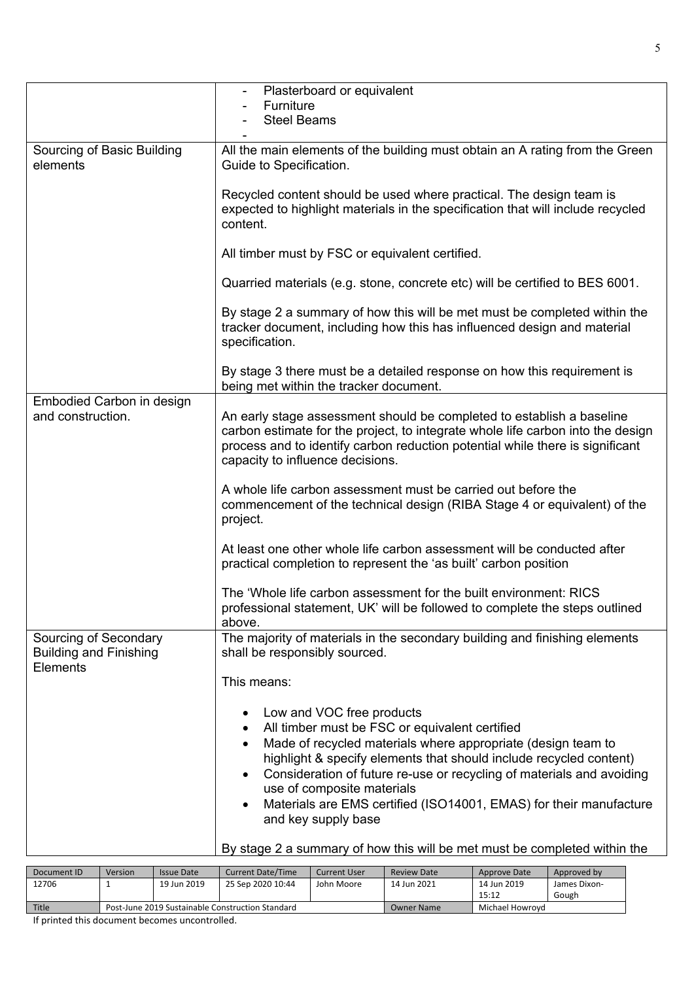|                                                                    | Plasterboard or equivalent                                                                                                                                                                                                                                                                                                                                                                                                                                                             |
|--------------------------------------------------------------------|----------------------------------------------------------------------------------------------------------------------------------------------------------------------------------------------------------------------------------------------------------------------------------------------------------------------------------------------------------------------------------------------------------------------------------------------------------------------------------------|
|                                                                    | Furniture                                                                                                                                                                                                                                                                                                                                                                                                                                                                              |
|                                                                    | <b>Steel Beams</b>                                                                                                                                                                                                                                                                                                                                                                                                                                                                     |
|                                                                    |                                                                                                                                                                                                                                                                                                                                                                                                                                                                                        |
| Sourcing of Basic Building<br>elements                             | All the main elements of the building must obtain an A rating from the Green<br>Guide to Specification.                                                                                                                                                                                                                                                                                                                                                                                |
|                                                                    | Recycled content should be used where practical. The design team is<br>expected to highlight materials in the specification that will include recycled<br>content.                                                                                                                                                                                                                                                                                                                     |
|                                                                    | All timber must by FSC or equivalent certified.                                                                                                                                                                                                                                                                                                                                                                                                                                        |
|                                                                    | Quarried materials (e.g. stone, concrete etc) will be certified to BES 6001.                                                                                                                                                                                                                                                                                                                                                                                                           |
|                                                                    | By stage 2 a summary of how this will be met must be completed within the<br>tracker document, including how this has influenced design and material<br>specification.                                                                                                                                                                                                                                                                                                                 |
|                                                                    | By stage 3 there must be a detailed response on how this requirement is<br>being met within the tracker document.                                                                                                                                                                                                                                                                                                                                                                      |
| Embodied Carbon in design<br>and construction.                     | An early stage assessment should be completed to establish a baseline<br>carbon estimate for the project, to integrate whole life carbon into the design<br>process and to identify carbon reduction potential while there is significant<br>capacity to influence decisions.                                                                                                                                                                                                          |
|                                                                    | A whole life carbon assessment must be carried out before the<br>commencement of the technical design (RIBA Stage 4 or equivalent) of the<br>project.                                                                                                                                                                                                                                                                                                                                  |
|                                                                    | At least one other whole life carbon assessment will be conducted after<br>practical completion to represent the 'as built' carbon position                                                                                                                                                                                                                                                                                                                                            |
|                                                                    | The 'Whole life carbon assessment for the built environment: RICS<br>professional statement, UK' will be followed to complete the steps outlined<br>above.                                                                                                                                                                                                                                                                                                                             |
| Sourcing of Secondary<br><b>Building and Finishing</b><br>Elements | The majority of materials in the secondary building and finishing elements<br>shall be responsibly sourced.                                                                                                                                                                                                                                                                                                                                                                            |
|                                                                    | This means:                                                                                                                                                                                                                                                                                                                                                                                                                                                                            |
|                                                                    | Low and VOC free products<br>$\bullet$<br>All timber must be FSC or equivalent certified<br>$\bullet$<br>Made of recycled materials where appropriate (design team to<br>$\bullet$<br>highlight & specify elements that should include recycled content)<br>Consideration of future re-use or recycling of materials and avoiding<br>$\bullet$<br>use of composite materials<br>Materials are EMS certified (ISO14001, EMAS) for their manufacture<br>$\bullet$<br>and key supply base |
|                                                                    | By stage 2 a summary of how this will be met must be completed within the                                                                                                                                                                                                                                                                                                                                                                                                              |

| Document ID | Version                                          | Issue Date                                     | <b>Current Date/Time</b> | <b>Current User</b> | <b>Review Date</b> | Approve Date | Approved by  |
|-------------|--------------------------------------------------|------------------------------------------------|--------------------------|---------------------|--------------------|--------------|--------------|
| 12706       |                                                  | 19 Jun 2019<br>25 Sep 2020 10:44<br>John Moore |                          |                     |                    | 14 Jun 2019  | James Dixon- |
|             |                                                  |                                                |                          |                     | 15:12              | Gough        |              |
| Title       | Post-June 2019 Sustainable Construction Standard |                                                |                          | <b>Owner Name</b>   | Michael Howrovd    |              |              |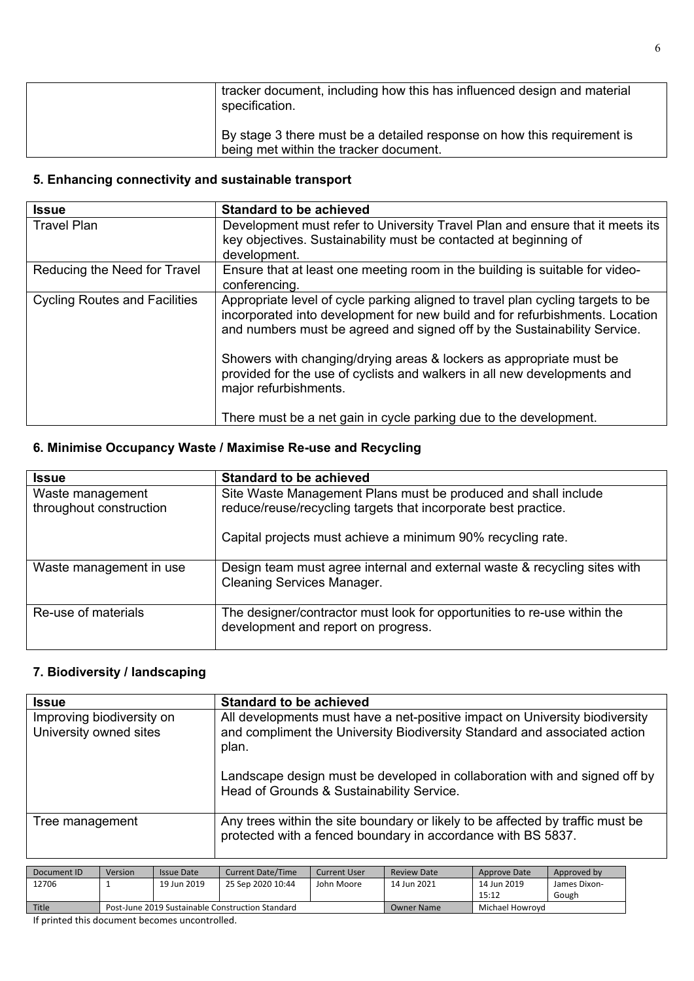| tracker document, including how this has influenced design and material<br>specification.                         |
|-------------------------------------------------------------------------------------------------------------------|
| By stage 3 there must be a detailed response on how this requirement is<br>being met within the tracker document. |

### **5. Enhancing connectivity and sustainable transport**

| <b>Issue</b>                         | <b>Standard to be achieved</b>                                                                                                                                                                                                                                                                                                                                                                                          |
|--------------------------------------|-------------------------------------------------------------------------------------------------------------------------------------------------------------------------------------------------------------------------------------------------------------------------------------------------------------------------------------------------------------------------------------------------------------------------|
| <b>Travel Plan</b>                   | Development must refer to University Travel Plan and ensure that it meets its<br>key objectives. Sustainability must be contacted at beginning of<br>development.                                                                                                                                                                                                                                                       |
| Reducing the Need for Travel         | Ensure that at least one meeting room in the building is suitable for video-<br>conferencing.                                                                                                                                                                                                                                                                                                                           |
| <b>Cycling Routes and Facilities</b> | Appropriate level of cycle parking aligned to travel plan cycling targets to be<br>incorporated into development for new build and for refurbishments. Location<br>and numbers must be agreed and signed off by the Sustainability Service.<br>Showers with changing/drying areas & lockers as appropriate must be<br>provided for the use of cyclists and walkers in all new developments and<br>major refurbishments. |
|                                      | There must be a net gain in cycle parking due to the development.                                                                                                                                                                                                                                                                                                                                                       |

### **6. Minimise Occupancy Waste / Maximise Re-use and Recycling**

| <b>Issue</b>                                | <b>Standard to be achieved</b>                                                                                                   |
|---------------------------------------------|----------------------------------------------------------------------------------------------------------------------------------|
| Waste management<br>throughout construction | Site Waste Management Plans must be produced and shall include<br>reduce/reuse/recycling targets that incorporate best practice. |
|                                             | Capital projects must achieve a minimum 90% recycling rate.                                                                      |
| Waste management in use                     | Design team must agree internal and external waste & recycling sites with<br><b>Cleaning Services Manager.</b>                   |
| Re-use of materials                         | The designer/contractor must look for opportunities to re-use within the<br>development and report on progress.                  |

#### **7. Biodiversity / landscaping**

| <b>Issue</b>                                                                             | <b>Standard to be achieved</b>                                                                                                                                    |
|------------------------------------------------------------------------------------------|-------------------------------------------------------------------------------------------------------------------------------------------------------------------|
| Improving biodiversity on<br>University owned sites                                      | All developments must have a net-positive impact on University biodiversity<br>and compliment the University Biodiversity Standard and associated action<br>plan. |
|                                                                                          | Landscape design must be developed in collaboration with and signed off by<br>Head of Grounds & Sustainability Service.                                           |
| Tree management                                                                          | Any trees within the site boundary or likely to be affected by traffic must be<br>protected with a fenced boundary in accordance with BS 5837.                    |
| المناصر<br>$\mathbf{r}$ , $\mathbf{r}$ , $\mathbf{r}$ , $\mathbf{r}$ , $\mathbf{r}$<br>. | $\begin{array}{ccc} \n\end{array}$<br>$\mathbf{r}$ . The set of $\mathbf{r}$<br>$\sim$ $\sim$ $\sim$ $\sim$<br>$\sim$ $\sim$ $\sim$ $\sim$ $\sim$ $\sim$          |

| Document ID | Version                                          | Issue Date                                     | <b>Current Date/Time</b> | <b>Current User</b> | <b>Review Date</b> | Approve Date | Approved by  |
|-------------|--------------------------------------------------|------------------------------------------------|--------------------------|---------------------|--------------------|--------------|--------------|
| 12706       |                                                  | 19 Jun 2019<br>25 Sep 2020 10:44<br>John Moore |                          |                     |                    | 14 Jun 2019  | James Dixon- |
|             |                                                  |                                                |                          |                     |                    | 15:12        | Gough        |
| Title       | Post-June 2019 Sustainable Construction Standard |                                                |                          | <b>Owner Name</b>   | Michael Howrovd    |              |              |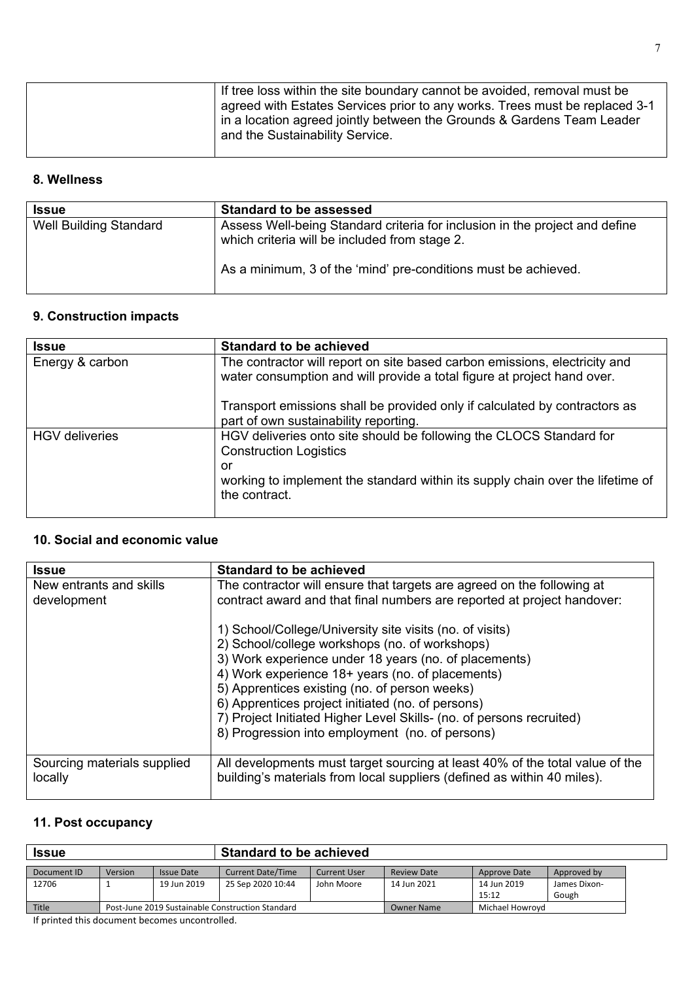| and the Sustainability Service. |
|---------------------------------|
|---------------------------------|

#### **8. Wellness**

| <b>Issue</b>                  | <b>Standard to be assessed</b>                                                                                               |
|-------------------------------|------------------------------------------------------------------------------------------------------------------------------|
| <b>Well Building Standard</b> | Assess Well-being Standard criteria for inclusion in the project and define<br>which criteria will be included from stage 2. |
|                               | As a minimum, 3 of the 'mind' pre-conditions must be achieved.                                                               |

# **9. Construction impacts**

| <b>Issue</b>          | <b>Standard to be achieved</b>                                                                                                                        |
|-----------------------|-------------------------------------------------------------------------------------------------------------------------------------------------------|
| Energy & carbon       | The contractor will report on site based carbon emissions, electricity and<br>water consumption and will provide a total figure at project hand over. |
|                       | Transport emissions shall be provided only if calculated by contractors as<br>part of own sustainability reporting.                                   |
| <b>HGV</b> deliveries | HGV deliveries onto site should be following the CLOCS Standard for<br><b>Construction Logistics</b><br>or                                            |
|                       | working to implement the standard within its supply chain over the lifetime of<br>the contract.                                                       |

#### **10. Social and economic value**

| <b>Issue</b>                           | <b>Standard to be achieved</b>                                                                                                                          |
|----------------------------------------|---------------------------------------------------------------------------------------------------------------------------------------------------------|
| New entrants and skills                | The contractor will ensure that targets are agreed on the following at                                                                                  |
| development                            | contract award and that final numbers are reported at project handover:                                                                                 |
|                                        | 1) School/College/University site visits (no. of visits)                                                                                                |
|                                        | 2) School/college workshops (no. of workshops)                                                                                                          |
|                                        | 3) Work experience under 18 years (no. of placements)                                                                                                   |
|                                        | 4) Work experience 18+ years (no. of placements)                                                                                                        |
|                                        | 5) Apprentices existing (no. of person weeks)                                                                                                           |
|                                        | 6) Apprentices project initiated (no. of persons)                                                                                                       |
|                                        | 7) Project Initiated Higher Level Skills- (no. of persons recruited)                                                                                    |
|                                        | 8) Progression into employment (no. of persons)                                                                                                         |
| Sourcing materials supplied<br>locally | All developments must target sourcing at least 40% of the total value of the<br>building's materials from local suppliers (defined as within 40 miles). |

#### **11. Post occupancy**

| <b>Issue</b> |                                                  |                   | <b>Standard to be achieved</b> |                    |                   |                      |                       |  |
|--------------|--------------------------------------------------|-------------------|--------------------------------|--------------------|-------------------|----------------------|-----------------------|--|
| Document ID  | Version                                          | <b>Issue Date</b> | <b>Current Date/Time</b>       | <b>Review Date</b> | Approve Date      | Approved by          |                       |  |
| 12706        |                                                  | 19 Jun 2019       | 25 Sep 2020 10:44              | John Moore         | 14 Jun 2021       | 14 Jun 2019<br>15:12 | James Dixon-<br>Gough |  |
| Title        | Post-June 2019 Sustainable Construction Standard |                   |                                |                    | <b>Owner Name</b> | Michael Howrovd      |                       |  |